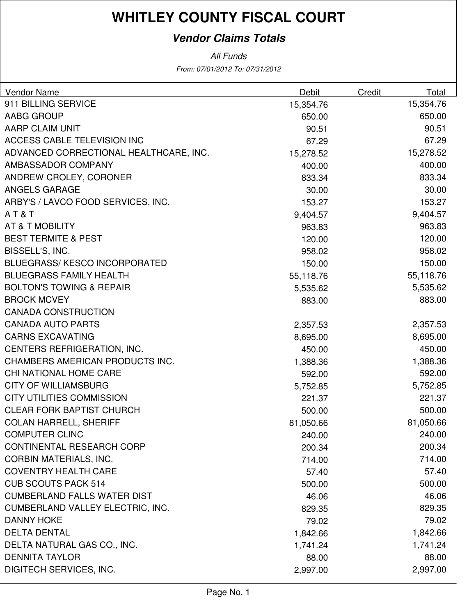### **Vendor Claims Totals**

From: 07/01/2012 To: 07/31/2012 All Funds

| <b>Vendor Name</b>                      | Debit     | Credit | Total     |
|-----------------------------------------|-----------|--------|-----------|
| 911 BILLING SERVICE                     | 15,354.76 |        | 15,354.76 |
| AABG GROUP                              | 650.00    |        | 650.00    |
| <b>AARP CLAIM UNIT</b>                  | 90.51     |        | 90.51     |
| <b>ACCESS CABLE TELEVISION INC</b>      | 67.29     |        | 67.29     |
| ADVANCED CORRECTIONAL HEALTHCARE, INC.  | 15,278.52 |        | 15,278.52 |
| AMBASSADOR COMPANY                      | 400.00    |        | 400.00    |
| ANDREW CROLEY, CORONER                  | 833.34    |        | 833.34    |
| <b>ANGELS GARAGE</b>                    | 30.00     |        | 30.00     |
| ARBY'S / LAVCO FOOD SERVICES, INC.      | 153.27    |        | 153.27    |
| AT&T                                    | 9,404.57  |        | 9,404.57  |
| AT & T MOBILITY                         | 963.83    |        | 963.83    |
| <b>BEST TERMITE &amp; PEST</b>          | 120.00    |        | 120.00    |
| BISSELL'S, INC.                         | 958.02    |        | 958.02    |
| <b>BLUEGRASS/KESCO INCORPORATED</b>     | 150.00    |        | 150.00    |
| <b>BLUEGRASS FAMILY HEALTH</b>          | 55,118.76 |        | 55,118.76 |
| <b>BOLTON'S TOWING &amp; REPAIR</b>     | 5,535.62  |        | 5,535.62  |
| <b>BROCK MCVEY</b>                      | 883.00    |        | 883.00    |
| <b>CANADA CONSTRUCTION</b>              |           |        |           |
| <b>CANADA AUTO PARTS</b>                | 2,357.53  |        | 2,357.53  |
| <b>CARNS EXCAVATING</b>                 | 8,695.00  |        | 8,695.00  |
| CENTERS REFRIGERATION, INC.             | 450.00    |        | 450.00    |
| CHAMBERS AMERICAN PRODUCTS INC.         | 1,388.36  |        | 1,388.36  |
| CHI NATIONAL HOME CARE                  | 592.00    |        | 592.00    |
| <b>CITY OF WILLIAMSBURG</b>             | 5,752.85  |        | 5,752.85  |
| <b>CITY UTILITIES COMMISSION</b>        | 221.37    |        | 221.37    |
| <b>CLEAR FORK BAPTIST CHURCH</b>        | 500.00    |        | 500.00    |
| <b>COLAN HARRELL, SHERIFF</b>           | 81,050.66 |        | 81,050.66 |
| <b>COMPUTER CLINC</b>                   | 240.00    |        | 240.00    |
| CONTINENTAL RESEARCH CORP               | 200.34    |        | 200.34    |
| <b>CORBIN MATERIALS, INC.</b>           | 714.00    |        | 714.00    |
| <b>COVENTRY HEALTH CARE</b>             | 57.40     |        | 57.40     |
| <b>CUB SCOUTS PACK 514</b>              | 500.00    |        | 500.00    |
| <b>CUMBERLAND FALLS WATER DIST</b>      | 46.06     |        | 46.06     |
| <b>CUMBERLAND VALLEY ELECTRIC, INC.</b> | 829.35    |        | 829.35    |
| <b>DANNY HOKE</b>                       | 79.02     |        | 79.02     |
| <b>DELTA DENTAL</b>                     | 1,842.66  |        | 1,842.66  |
| DELTA NATURAL GAS CO., INC.             | 1,741.24  |        | 1,741.24  |
| <b>DENNITA TAYLOR</b>                   | 88.00     |        | 88.00     |
| DIGITECH SERVICES, INC.                 | 2,997.00  |        | 2,997.00  |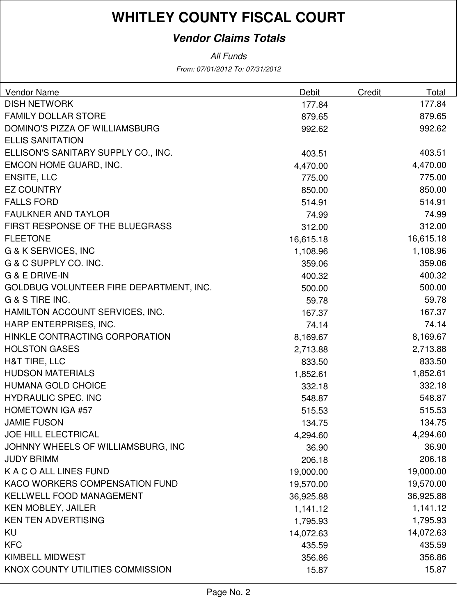### **Vendor Claims Totals**

From: 07/01/2012 To: 07/31/2012 All Funds

| <b>Vendor Name</b>                      | Debit     | Credit | Total     |
|-----------------------------------------|-----------|--------|-----------|
| <b>DISH NETWORK</b>                     | 177.84    |        | 177.84    |
| <b>FAMILY DOLLAR STORE</b>              | 879.65    |        | 879.65    |
| DOMINO'S PIZZA OF WILLIAMSBURG          | 992.62    |        | 992.62    |
| <b>ELLIS SANITATION</b>                 |           |        |           |
| ELLISON'S SANITARY SUPPLY CO., INC.     | 403.51    |        | 403.51    |
| EMCON HOME GUARD, INC.                  | 4,470.00  |        | 4,470.00  |
| <b>ENSITE, LLC</b>                      | 775.00    |        | 775.00    |
| <b>EZ COUNTRY</b>                       | 850.00    |        | 850.00    |
| <b>FALLS FORD</b>                       | 514.91    |        | 514.91    |
| <b>FAULKNER AND TAYLOR</b>              | 74.99     |        | 74.99     |
| FIRST RESPONSE OF THE BLUEGRASS         | 312.00    |        | 312.00    |
| <b>FLEETONE</b>                         | 16,615.18 |        | 16,615.18 |
| <b>G &amp; K SERVICES, INC</b>          | 1,108.96  |        | 1,108.96  |
| G & C SUPPLY CO. INC.                   | 359.06    |        | 359.06    |
| G & E DRIVE-IN                          | 400.32    |        | 400.32    |
| GOLDBUG VOLUNTEER FIRE DEPARTMENT, INC. | 500.00    |        | 500.00    |
| G & S TIRE INC.                         | 59.78     |        | 59.78     |
| HAMILTON ACCOUNT SERVICES, INC.         | 167.37    |        | 167.37    |
| HARP ENTERPRISES, INC.                  | 74.14     |        | 74.14     |
| HINKLE CONTRACTING CORPORATION          | 8,169.67  |        | 8,169.67  |
| <b>HOLSTON GASES</b>                    | 2,713.88  |        | 2,713.88  |
| H&T TIRE, LLC                           | 833.50    |        | 833.50    |
| <b>HUDSON MATERIALS</b>                 | 1,852.61  |        | 1,852.61  |
| <b>HUMANA GOLD CHOICE</b>               | 332.18    |        | 332.18    |
| <b>HYDRAULIC SPEC. INC</b>              | 548.87    |        | 548.87    |
| <b>HOMETOWN IGA #57</b>                 | 515.53    |        | 515.53    |
| <b>JAMIE FUSON</b>                      | 134.75    |        | 134.75    |
| <b>JOE HILL ELECTRICAL</b>              | 4,294.60  |        | 4,294.60  |
| JOHNNY WHEELS OF WILLIAMSBURG, INC      | 36.90     |        | 36.90     |
| <b>JUDY BRIMM</b>                       | 206.18    |        | 206.18    |
| K A C O ALL LINES FUND                  | 19,000.00 |        | 19,000.00 |
| KACO WORKERS COMPENSATION FUND          | 19,570.00 |        | 19,570.00 |
| <b>KELLWELL FOOD MANAGEMENT</b>         | 36,925.88 |        | 36,925.88 |
| <b>KEN MOBLEY, JAILER</b>               | 1,141.12  |        | 1,141.12  |
| <b>KEN TEN ADVERTISING</b>              | 1,795.93  |        | 1,795.93  |
| <b>KU</b>                               | 14,072.63 |        | 14,072.63 |
| <b>KFC</b>                              | 435.59    |        | 435.59    |
| <b>KIMBELL MIDWEST</b>                  | 356.86    |        | 356.86    |
| KNOX COUNTY UTILITIES COMMISSION        | 15.87     |        | 15.87     |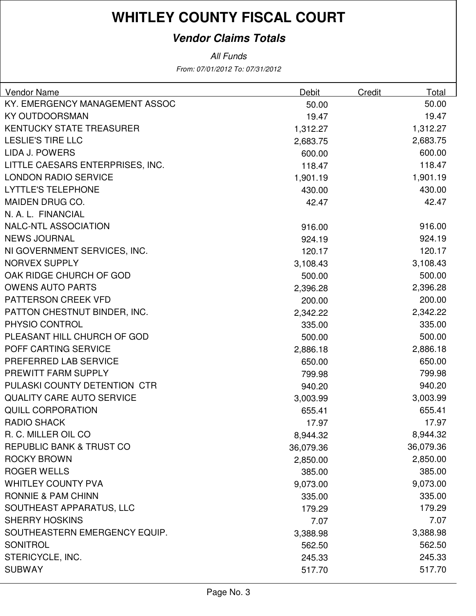### **Vendor Claims Totals**

All Funds

From: 07/01/2012 To: 07/31/2012

| Vendor Name                         | Debit     | Credit | Total     |
|-------------------------------------|-----------|--------|-----------|
| KY. EMERGENCY MANAGEMENT ASSOC      | 50.00     |        | 50.00     |
| <b>KY OUTDOORSMAN</b>               | 19.47     |        | 19.47     |
| <b>KENTUCKY STATE TREASURER</b>     | 1,312.27  |        | 1,312.27  |
| <b>LESLIE'S TIRE LLC</b>            | 2,683.75  |        | 2,683.75  |
| <b>LIDA J. POWERS</b>               | 600.00    |        | 600.00    |
| LITTLE CAESARS ENTERPRISES, INC.    | 118.47    |        | 118.47    |
| <b>LONDON RADIO SERVICE</b>         | 1,901.19  |        | 1,901.19  |
| <b>LYTTLE'S TELEPHONE</b>           | 430.00    |        | 430.00    |
| MAIDEN DRUG CO.                     | 42.47     |        | 42.47     |
| N. A. L. FINANCIAL                  |           |        |           |
| <b>NALC-NTL ASSOCIATION</b>         | 916.00    |        | 916.00    |
| <b>NEWS JOURNAL</b>                 | 924.19    |        | 924.19    |
| NI GOVERNMENT SERVICES, INC.        | 120.17    |        | 120.17    |
| <b>NORVEX SUPPLY</b>                | 3,108.43  |        | 3,108.43  |
| OAK RIDGE CHURCH OF GOD             | 500.00    |        | 500.00    |
| <b>OWENS AUTO PARTS</b>             | 2,396.28  |        | 2,396.28  |
| PATTERSON CREEK VFD                 | 200.00    |        | 200.00    |
| PATTON CHESTNUT BINDER, INC.        | 2,342.22  |        | 2,342.22  |
| PHYSIO CONTROL                      | 335.00    |        | 335.00    |
| PLEASANT HILL CHURCH OF GOD         | 500.00    |        | 500.00    |
| POFF CARTING SERVICE                | 2,886.18  |        | 2,886.18  |
| PREFERRED LAB SERVICE               | 650.00    |        | 650.00    |
| PREWITT FARM SUPPLY                 | 799.98    |        | 799.98    |
| PULASKI COUNTY DETENTION CTR        | 940.20    |        | 940.20    |
| <b>QUALITY CARE AUTO SERVICE</b>    | 3,003.99  |        | 3,003.99  |
| <b>QUILL CORPORATION</b>            | 655.41    |        | 655.41    |
| <b>RADIO SHACK</b>                  | 17.97     |        | 17.97     |
| R. C. MILLER OIL CO                 | 8,944.32  |        | 8,944.32  |
| <b>REPUBLIC BANK &amp; TRUST CO</b> | 36,079.36 |        | 36,079.36 |
| <b>ROCKY BROWN</b>                  | 2,850.00  |        | 2,850.00  |
| <b>ROGER WELLS</b>                  | 385.00    |        | 385.00    |
| <b>WHITLEY COUNTY PVA</b>           | 9,073.00  |        | 9,073.00  |
| <b>RONNIE &amp; PAM CHINN</b>       | 335.00    |        | 335.00    |
| SOUTHEAST APPARATUS, LLC            | 179.29    |        | 179.29    |
| <b>SHERRY HOSKINS</b>               | 7.07      |        | 7.07      |
| SOUTHEASTERN EMERGENCY EQUIP.       | 3,388.98  |        | 3,388.98  |
| <b>SONITROL</b>                     | 562.50    |        | 562.50    |
| STERICYCLE, INC.                    | 245.33    |        | 245.33    |
| <b>SUBWAY</b>                       | 517.70    |        | 517.70    |